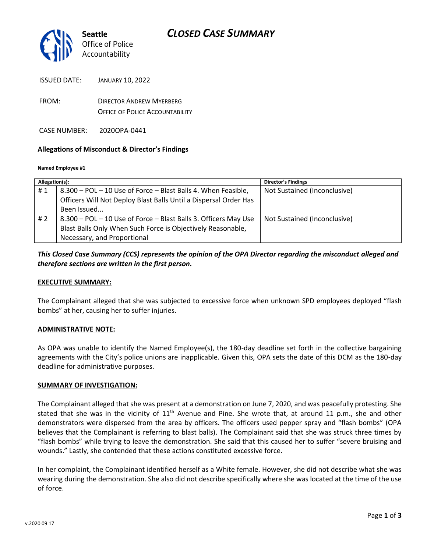

ISSUED DATE: JANUARY 10, 2022

FROM: DIRECTOR ANDREW MYERBERG OFFICE OF POLICE ACCOUNTABILITY

CASE NUMBER: 2020OPA-0441

#### **Allegations of Misconduct & Director's Findings**

#### **Named Employee #1**

| Allegation(s): |                                                                  | <b>Director's Findings</b>   |
|----------------|------------------------------------------------------------------|------------------------------|
| #1             | 8.300 - POL - 10 Use of Force - Blast Balls 4. When Feasible,    | Not Sustained (Inconclusive) |
|                | Officers Will Not Deploy Blast Balls Until a Dispersal Order Has |                              |
|                | Been Issued                                                      |                              |
| # 2            | 8.300 - POL - 10 Use of Force - Blast Balls 3. Officers May Use  | Not Sustained (Inconclusive) |
|                | Blast Balls Only When Such Force is Objectively Reasonable,      |                              |
|                | Necessary, and Proportional                                      |                              |

# *This Closed Case Summary (CCS) represents the opinion of the OPA Director regarding the misconduct alleged and therefore sections are written in the first person.*

#### **EXECUTIVE SUMMARY:**

The Complainant alleged that she was subjected to excessive force when unknown SPD employees deployed "flash bombs" at her, causing her to suffer injuries.

#### **ADMINISTRATIVE NOTE:**

As OPA was unable to identify the Named Employee(s), the 180-day deadline set forth in the collective bargaining agreements with the City's police unions are inapplicable. Given this, OPA sets the date of this DCM as the 180-day deadline for administrative purposes.

#### **SUMMARY OF INVESTIGATION:**

The Complainant alleged that she was present at a demonstration on June 7, 2020, and was peacefully protesting. She stated that she was in the vicinity of 11<sup>th</sup> Avenue and Pine. She wrote that, at around 11 p.m., she and other demonstrators were dispersed from the area by officers. The officers used pepper spray and "flash bombs" (OPA believes that the Complainant is referring to blast balls). The Complainant said that she was struck three times by "flash bombs" while trying to leave the demonstration. She said that this caused her to suffer "severe bruising and wounds." Lastly, she contended that these actions constituted excessive force.

In her complaint, the Complainant identified herself as a White female. However, she did not describe what she was wearing during the demonstration. She also did not describe specifically where she was located at the time of the use of force.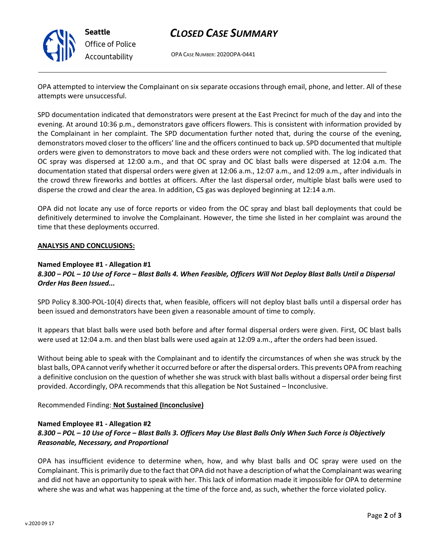

**Seattle** *Office of Police Accountability*

# *CLOSED CASE SUMMARY*

OPA CASE NUMBER: 2020OPA-0441

OPA attempted to interview the Complainant on six separate occasions through email, phone, and letter. All of these attempts were unsuccessful.

SPD documentation indicated that demonstrators were present at the East Precinct for much of the day and into the evening. At around 10:36 p.m., demonstrators gave officers flowers. This is consistent with information provided by the Complainant in her complaint. The SPD documentation further noted that, during the course of the evening, demonstrators moved closer to the officers' line and the officers continued to back up. SPD documented that multiple orders were given to demonstrators to move back and these orders were not complied with. The log indicated that OC spray was dispersed at 12:00 a.m., and that OC spray and OC blast balls were dispersed at 12:04 a.m. The documentation stated that dispersal orders were given at 12:06 a.m., 12:07 a.m., and 12:09 a.m., after individuals in the crowd threw fireworks and bottles at officers. After the last dispersal order, multiple blast balls were used to disperse the crowd and clear the area. In addition, CS gas was deployed beginning at 12:14 a.m.

OPA did not locate any use of force reports or video from the OC spray and blast ball deployments that could be definitively determined to involve the Complainant. However, the time she listed in her complaint was around the time that these deployments occurred.

#### **ANALYSIS AND CONCLUSIONS:**

#### **Named Employee #1 - Allegation #1**

# *8.300 – POL – 10 Use of Force – Blast Balls 4. When Feasible, Officers Will Not Deploy Blast Balls Until a Dispersal Order Has Been Issued...*

SPD Policy 8.300-POL-10(4) directs that, when feasible, officers will not deploy blast balls until a dispersal order has been issued and demonstrators have been given a reasonable amount of time to comply.

It appears that blast balls were used both before and after formal dispersal orders were given. First, OC blast balls were used at 12:04 a.m. and then blast balls were used again at 12:09 a.m., after the orders had been issued.

Without being able to speak with the Complainant and to identify the circumstances of when she was struck by the blast balls, OPA cannot verify whether it occurred before or after the dispersal orders. This prevents OPA from reaching a definitive conclusion on the question of whether she was struck with blast balls without a dispersal order being first provided. Accordingly, OPA recommends that this allegation be Not Sustained – Inconclusive.

#### Recommended Finding: **Not Sustained (Inconclusive)**

### **Named Employee #1 - Allegation #2** *8.300 – POL – 10 Use of Force – Blast Balls 3. Officers May Use Blast Balls Only When Such Force is Objectively Reasonable, Necessary, and Proportional*

OPA has insufficient evidence to determine when, how, and why blast balls and OC spray were used on the Complainant. This is primarily due to the fact that OPA did not have a description of what the Complainant was wearing and did not have an opportunity to speak with her. This lack of information made it impossible for OPA to determine where she was and what was happening at the time of the force and, as such, whether the force violated policy.